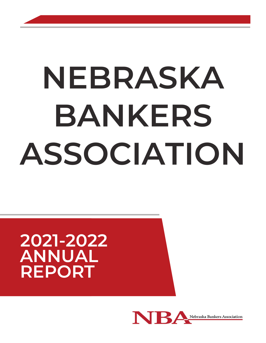# **NEBRASKA BANKERS ASSOCIATION**

## **2021-2022 ANNUAL REPORT**

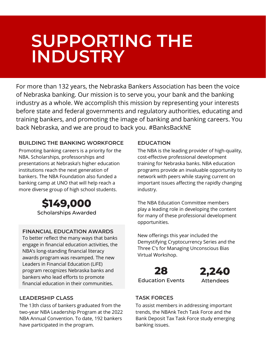## **\$13,000 ISUPPU SUPPORTING THE INDUSTRY**

For more than 132 years, the Nebraska Bankers Association has been the voice of Nebraska banking. Our mission is to serve you, your bank and the banking industry as a whole. We accomplish this mission by representing your interests before state and federal governments and regulatory authorities, educating and training bankers, and promoting the image of banking and banking careers. You back Nebraska, and we are proud to back you. #BanksBackNE

#### **BUILDING THE BANKING WORKFORCE**

Promoting banking careers is a priority for the NBA. Scholarships, professorships and presentations at Nebraska's higher education institutions reach the next generation of bankers. The NBA Foundation also funded a banking camp at UNO that will help reach a more diverse group of high school students.

> **\$149,000** Scholarships Awarded

#### **FINANCIAL EDUCATION AWARDS**

To better reflect the many ways that banks engage in financial education activities, the NBA's long-standing financial literacy awards program was revamped. The new Leaders in Financial Education (LiFE) program recognizes Nebraska banks and bankers who lead efforts to promote financial education in their communities.

#### **EDUCATION**

The NBA is the leading provider of high-quality, cost-effective professional development training for Nebraska banks. NBA education programs provide an invaluable opportunity to network with peers while staying current on important issues affecting the rapidly changing industry.

The NBA Education Committee members play a leading role in developing the content for many of these professional development opportunities.

New offerings this year included the Demystifying Cryptocurrency Series and the Three C's for Managing Unconscious Bias Virtual Workshop.





#### **LEADERSHIP CLASS**

The 13th class of bankers graduated from the two-year NBA Leadership Program at the 2022 NBA Annual Convention. To date, 192 bankers have participated in the program.

#### **TASK FORCES**

To assist members in addressing important trends, the NBAnk Tech Task Force and the Bank Deposit Tax Task Force study emerging banking issues.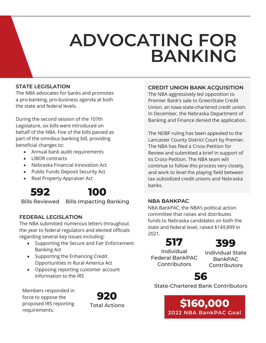## **ADVOCATING FOR BANKING**

#### **STATE LEGISLATION**

The NBA advocates for banks and promotes a pro-banking, pro-business agenda at both the state and federal levels.

During the second session of the 107th Legislature, six bills were introduced on behalf of the NBA. Five of the bills passed as part of the omnibus banking bill, providing beneficial changes to:

- Annual bank audit requirements
- LIBOR contracts
- Nebraska Financial Innovation Act
- Public Funds Deposit Security Act
- Real Property Appraiser Act





Bills Reviewed Bills Impacting Banking

#### **FEDERAL LEGISLATION**

The NBA submitted numerous letters throughout the year to federal regulators and elected officials regarding several key issues including:

- Supporting the Secure and Fair Enforcement Banking Act
- Supporting the Enhancing Credit Opportunities in Rural America Act
- Opposing reporting customer account information to the IRS

Members responded in force to oppose the proposed IRS reporting requirements.



#### **CREDIT UNION BANK ACQUISITION**

The NBA aggressively led opposition to Premier Bank's sale to GreenState Credit Union, an Iowa state-chartered credit union. In December, the Nebraska Department of Banking and Finance denied the application.

The NDBF ruling has been appealed to the Lancaster County District Court by Premier. The NBA has filed a Cross-Petition for Review and submitted a brief in support of its Cross-Petition. The NBA team will continue to follow this process very closely, and work to level the playing field between tax-subsidized credit unions and Nebraska banks.

#### **NBA BANKPAC**

NBA BankPAC, the NBA's political action committee that raises and distributes funds to Nebraska candidates on both the state and federal level, raised \$149,899 in 2021.

## **517**

Individual Federal BankPAC **Contributors** 

Individual State BankPAC **Contributors** 

**399**



State-Chartered Bank Contributors

**\$160,000 2022 NBA BankPAC Goal**